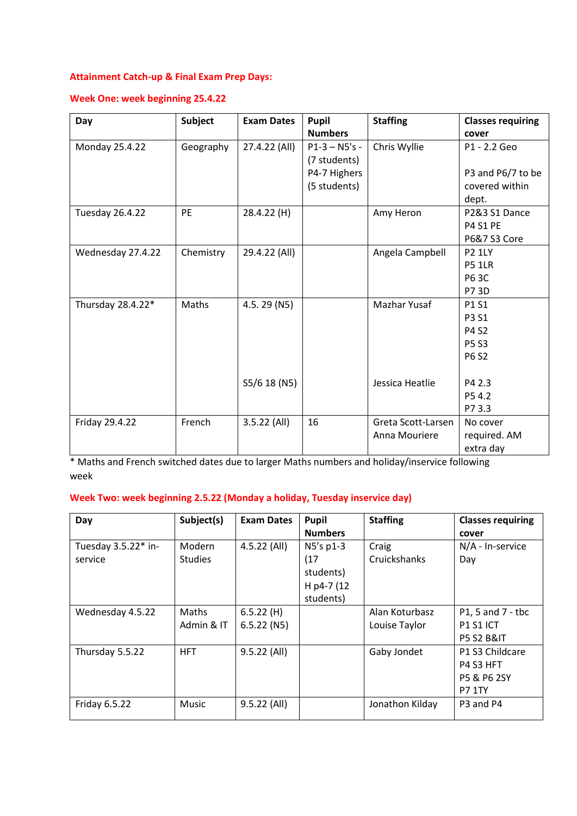### **Attainment Catch-up & Final Exam Prep Days:**

### **Week One: week beginning 25.4.22**

| Day                    | <b>Subject</b> | <b>Exam Dates</b> | Pupil           | <b>Staffing</b>    | <b>Classes requiring</b> |
|------------------------|----------------|-------------------|-----------------|--------------------|--------------------------|
|                        |                |                   | <b>Numbers</b>  |                    | cover                    |
| Monday 25.4.22         | Geography      | 27.4.22 (All)     | $P1-3 - NS's -$ | Chris Wyllie       | P1 - 2.2 Geo             |
|                        |                |                   | (7 students)    |                    |                          |
|                        |                |                   | P4-7 Highers    |                    | P3 and P6/7 to be        |
|                        |                |                   | (5 students)    |                    | covered within           |
|                        |                |                   |                 |                    | dept.                    |
| <b>Tuesday 26.4.22</b> | PE             | 28.4.22 (H)       |                 | Amy Heron          | P2&3 S1 Dance            |
|                        |                |                   |                 |                    | <b>P4 S1 PE</b>          |
|                        |                |                   |                 |                    | P6&7 S3 Core             |
| Wednesday 27.4.22      | Chemistry      | 29.4.22 (All)     |                 | Angela Campbell    | <b>P2 1LY</b>            |
|                        |                |                   |                 |                    | <b>P5 1LR</b>            |
|                        |                |                   |                 |                    | <b>P63C</b>              |
|                        |                |                   |                 |                    | P7 3D                    |
| Thursday 28.4.22*      | Maths          | 4.5.29 (N5)       |                 | Mazhar Yusaf       | P1 S1                    |
|                        |                |                   |                 |                    | <b>P3 S1</b>             |
|                        |                |                   |                 |                    | P4 S2                    |
|                        |                |                   |                 |                    | <b>P5 S3</b>             |
|                        |                |                   |                 |                    | P6 S2                    |
|                        |                |                   |                 |                    |                          |
|                        |                | S5/6 18 (N5)      |                 | Jessica Heatlie    | P4 2.3                   |
|                        |                |                   |                 |                    | P54.2                    |
|                        |                |                   |                 |                    | P73.3                    |
| Friday 29.4.22         | French         | $3.5.22$ (All)    | 16              | Greta Scott-Larsen | No cover                 |
|                        |                |                   |                 | Anna Mouriere      | required. AM             |
|                        |                |                   |                 |                    | extra day                |

\* Maths and French switched dates due to larger Maths numbers and holiday/inservice following week

### **Week Two: week beginning 2.5.22 (Monday a holiday, Tuesday inservice day)**

| Day                            | Subject(s)               | <b>Exam Dates</b>          | <b>Pupil</b><br><b>Numbers</b>                            | <b>Staffing</b>                 | <b>Classes requiring</b><br>cover                              |
|--------------------------------|--------------------------|----------------------------|-----------------------------------------------------------|---------------------------------|----------------------------------------------------------------|
| Tuesday 3.5.22* in-<br>service | Modern<br><b>Studies</b> | $4.5.22$ (All)             | N5's p1-3<br>(17)<br>students)<br>H p4-7 (12<br>students) | Craig<br>Cruickshanks           | N/A - In-service<br>Day                                        |
| Wednesday 4.5.22               | Maths<br>Admin & IT      | 6.5.22(H)<br>$6.5.22$ (N5) |                                                           | Alan Koturbasz<br>Louise Taylor | P1, 5 and 7 - tbc<br><b>P1 S1 ICT</b><br><b>P5 S2 B&amp;IT</b> |
| Thursday 5.5.22                | <b>HFT</b>               | $9.5.22$ (All)             |                                                           | Gaby Jondet                     | P1 S3 Childcare<br>P4 S3 HFT<br>P5 & P6 2SY<br><b>P7 1TY</b>   |
| Friday 6.5.22                  | Music                    | 9.5.22 (All)               |                                                           | Jonathon Kilday                 | P3 and P4                                                      |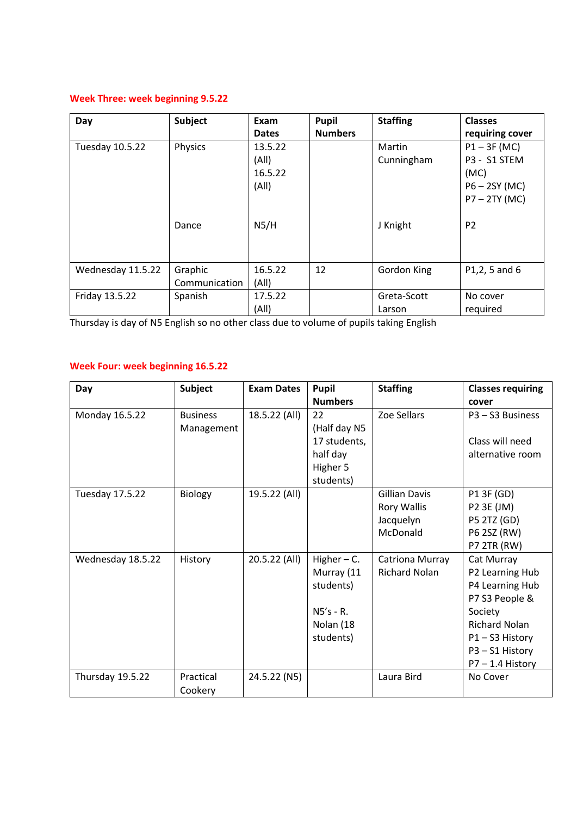# **Week Three: week beginning 9.5.22**

| Day               | Subject                  | Exam<br><b>Dates</b>                 | Pupil<br><b>Numbers</b> | <b>Staffing</b>       | <b>Classes</b><br>requiring cover                                            |
|-------------------|--------------------------|--------------------------------------|-------------------------|-----------------------|------------------------------------------------------------------------------|
| Tuesday 10.5.22   | Physics                  | 13.5.22<br>(A  )<br>16.5.22<br>(A  ) |                         | Martin<br>Cunningham  | $P1 - 3F$ (MC)<br>P3 - S1 STEM<br>(MC)<br>$P6 - 2SY$ (MC)<br>$P7 - 2TY$ (MC) |
|                   | Dance                    | N5/H                                 |                         | J Knight              | P <sub>2</sub>                                                               |
| Wednesday 11.5.22 | Graphic<br>Communication | 16.5.22<br>(A  )                     | 12                      | Gordon King           | P1,2, 5 and 6                                                                |
| Friday 13.5.22    | Spanish                  | 17.5.22<br>(A  )                     |                         | Greta-Scott<br>Larson | No cover<br>required                                                         |

Thursday is day of N5 English so no other class due to volume of pupils taking English

### **Week Four: week beginning 16.5.22**

| Day               | <b>Subject</b>  | <b>Exam Dates</b> | Pupil          | <b>Staffing</b>      | <b>Classes requiring</b> |
|-------------------|-----------------|-------------------|----------------|----------------------|--------------------------|
|                   |                 |                   | <b>Numbers</b> |                      | cover                    |
| Monday 16.5.22    | <b>Business</b> | 18.5.22 (All)     | 22             | Zoe Sellars          | P3 - S3 Business         |
|                   | Management      |                   | (Half day N5   |                      |                          |
|                   |                 |                   | 17 students,   |                      | Class will need          |
|                   |                 |                   | half day       |                      | alternative room         |
|                   |                 |                   | Higher 5       |                      |                          |
|                   |                 |                   | students)      |                      |                          |
| Tuesday 17.5.22   | Biology         | 19.5.22 (All)     |                | <b>Gillian Davis</b> | P1 3F (GD)               |
|                   |                 |                   |                | <b>Rory Wallis</b>   | P2 3E (JM)               |
|                   |                 |                   |                | Jacquelyn            | P5 2TZ (GD)              |
|                   |                 |                   |                | McDonald             | P6 2SZ (RW)              |
|                   |                 |                   |                |                      | <b>P7 2TR (RW)</b>       |
| Wednesday 18.5.22 | History         | 20.5.22 (All)     | Higher $-$ C.  | Catriona Murray      | Cat Murray               |
|                   |                 |                   | Murray (11     | <b>Richard Nolan</b> | P2 Learning Hub          |
|                   |                 |                   | students)      |                      | P4 Learning Hub          |
|                   |                 |                   |                |                      | P7 S3 People &           |
|                   |                 |                   | $N5's - R$ .   |                      | Society                  |
|                   |                 |                   | Nolan (18      |                      | <b>Richard Nolan</b>     |
|                   |                 |                   | students)      |                      | P1-S3 History            |
|                   |                 |                   |                |                      | P3-S1 History            |
|                   |                 |                   |                |                      | $P7 - 1.4$ History       |
| Thursday 19.5.22  | Practical       | 24.5.22 (N5)      |                | Laura Bird           | No Cover                 |
|                   | Cookery         |                   |                |                      |                          |